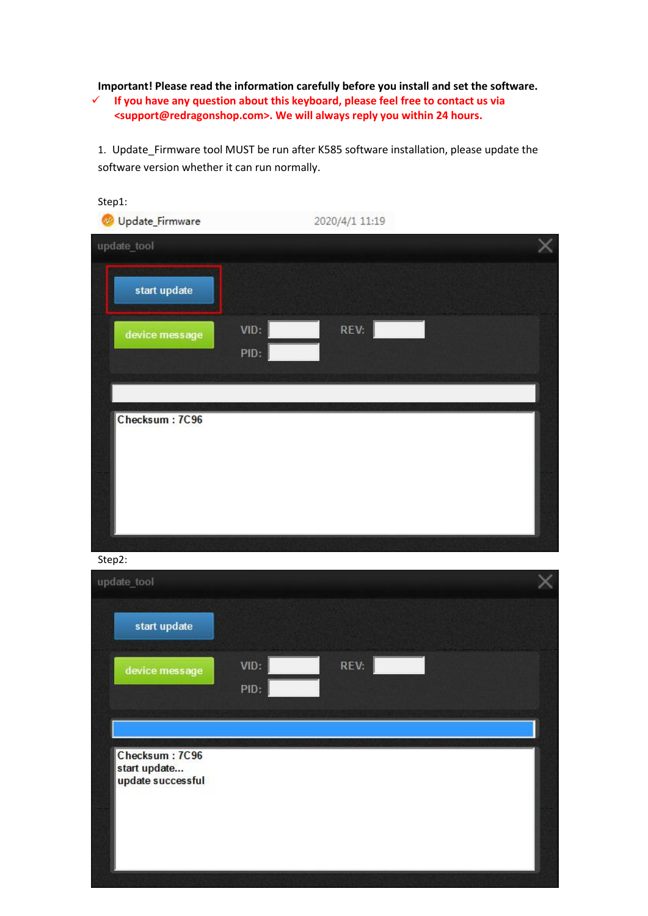**Important! Please read the information carefully before you install and set the software.**

 **If you have any question about this keyboard, please feel free to contact us via [<support@redragonshop.com](mailto:support@redragonshop.com)>. We will always reply you within 24 hours.**

1. Update\_Firmware tool MUST be run after K585 software installation, please update the software version whether it can run normally.

| Step1:<br>Update_Firmware<br>update_tool |              | 2020/4/1 11:19 |  |  |
|------------------------------------------|--------------|----------------|--|--|
| start update                             |              |                |  |  |
| device message                           | VID:<br>PID: | REV:           |  |  |
| Checksum: 7C96                           |              |                |  |  |
|                                          |              |                |  |  |
|                                          |              |                |  |  |

Step2:

| update_tool                                         |      |      |  |
|-----------------------------------------------------|------|------|--|
| start update                                        |      |      |  |
| device message                                      | VID: | REV: |  |
|                                                     | PID: |      |  |
|                                                     |      |      |  |
| Checksum: 7C96<br>start update<br>update successful |      |      |  |
|                                                     |      |      |  |
|                                                     |      |      |  |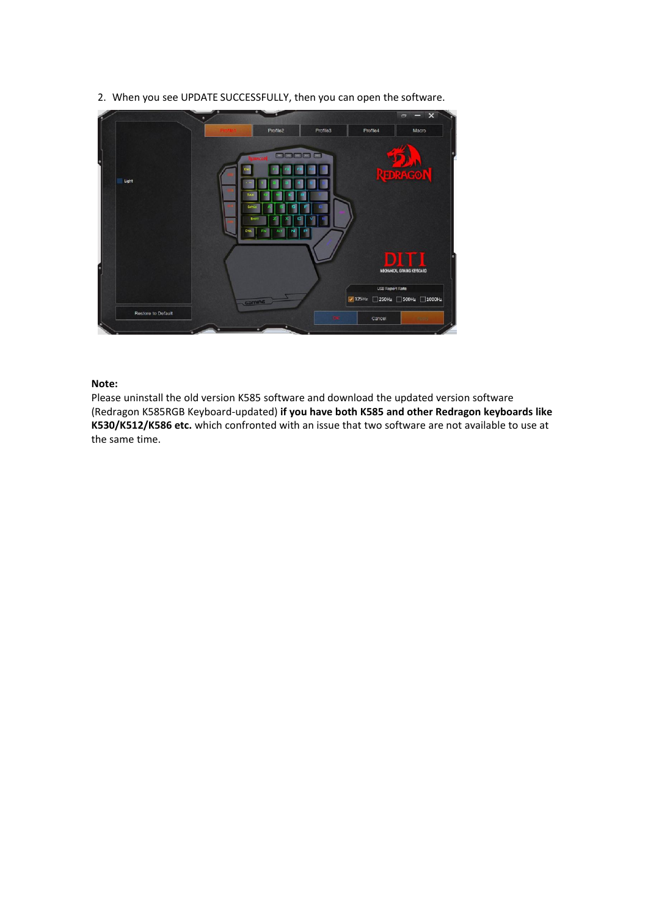

2. When you see UPDATE SUCCESSFULLY, then you can open the software.

## **Note:**

Please uninstall the old version K585 software and download the updated version software (Redragon K585RGB Keyboard-updated) **if you have both K585 and other Redragon keyboards like K530/K512/K586 etc.** which confronted with an issue that two software are not available to use at the same time.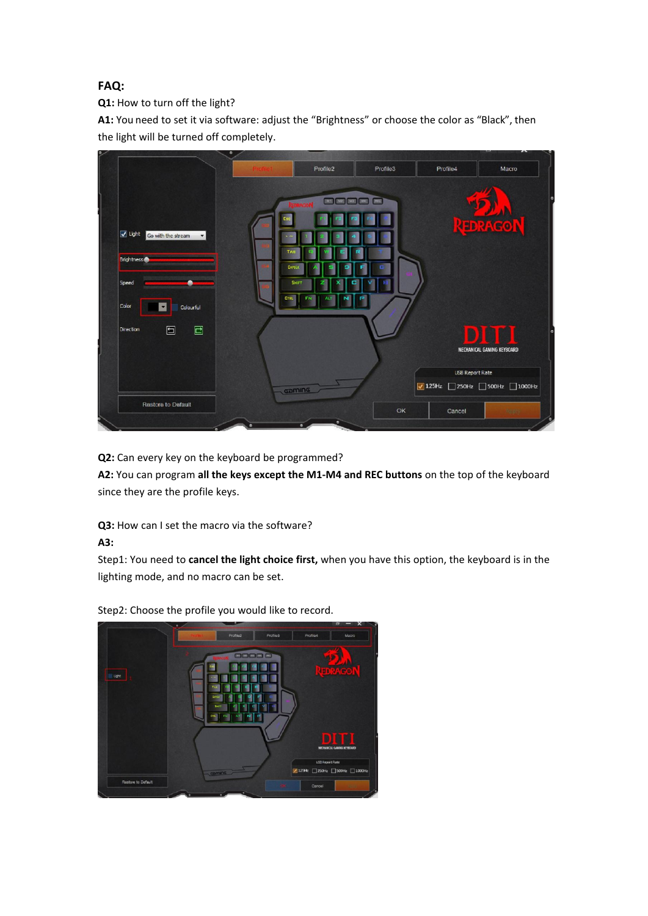## **FAQ:**

**Q1:** How to turn off the light?

**A1:** You need to set it via software: adjust the "Brightness" or choose the color as "Black", then the light will be turned off completely.



**Q2:** Can every key on the keyboard be programmed?

**A2:** You can program **all the keys except the M1-M4 and REC buttons** on the top of the keyboard since they are the profile keys.

**Q3:** How can I set the macro via the software?

**A3:**

Step1: You need to **cancel the light choice first,** when you have this option, the keyboard is in the lighting mode, and no macro can be set.



Step2: Choose the profile you would like to record.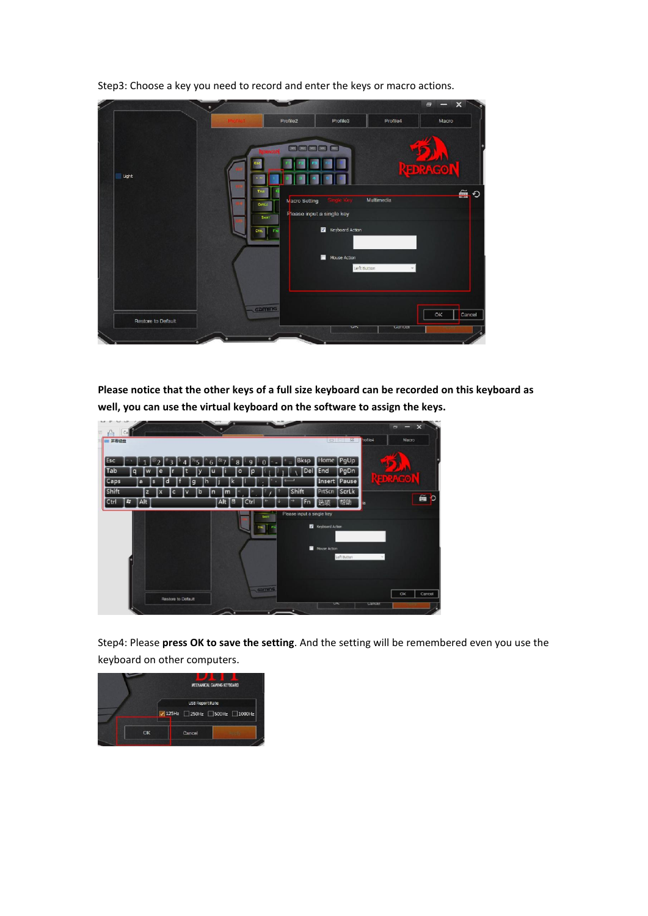

Step3: Choose a key you need to record and enter the keys or macro actions.

**Please notice that the other keys of a full size keyboard can be recorded on this keyboard as well, you can use the virtual keyboard on the software to assign the keys.**



Step4: Please **press OK to save the setting**. And the setting will be remembered even you use the keyboard on other computers.

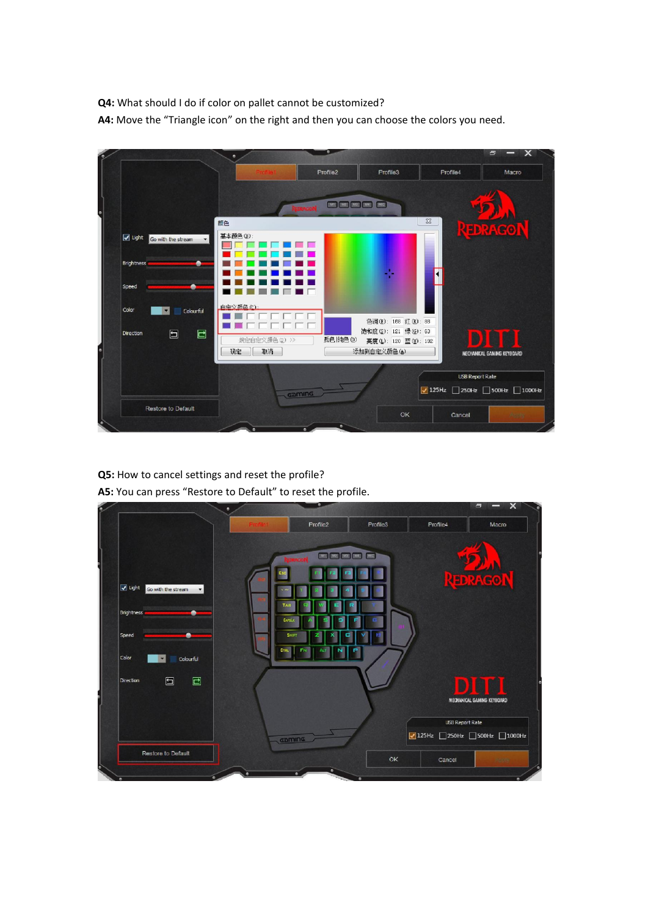**Q4:** What should I do if color on pallet cannot be customized? A4: Move the "Triangle icon" on the right and then you can choose the colors you need.

|                                      |                           | Profile2                                            | Profile3                            | Profile4                           | Macro                      |
|--------------------------------------|---------------------------|-----------------------------------------------------|-------------------------------------|------------------------------------|----------------------------|
|                                      |                           |                                                     |                                     |                                    |                            |
|                                      |                           | <b>DE DE DE DE DE</b><br><b><i><u>DRAGO</u></i></b> |                                     |                                    |                            |
|                                      | 颜色                        |                                                     |                                     | $\Sigma$                           |                            |
|                                      | 基本颜色(B):                  |                                                     |                                     |                                    | <b>EDRAGO</b>              |
| $\sqrt{$ Light<br>Go with the stream | ×.                        |                                                     |                                     |                                    |                            |
| <b>Brightness</b>                    |                           |                                                     |                                     |                                    |                            |
|                                      |                           |                                                     |                                     |                                    |                            |
| Speed                                |                           |                                                     |                                     |                                    |                            |
| Color                                | 白宝义颜色(C):                 |                                                     |                                     |                                    |                            |
| Colourful<br>v.                      |                           |                                                     | 色调(E): 168 红(E): 88                 |                                    |                            |
| □<br>Direction                       | □                         |                                                     | 饱和度(S): 121 绿(G): 63                |                                    |                            |
|                                      | 规定自定义颜色(D) >><br>取消<br>确定 | 颜色 纯色(0)                                            | 真度(L): 120 蓝(U): 192<br>添加到自定义颜色(A) |                                    |                            |
|                                      |                           |                                                     |                                     |                                    | MECHANICAL GAMING KEYBOARD |
|                                      |                           |                                                     |                                     | <b>USB Report Rate</b>             |                            |
|                                      | Gaming                    |                                                     |                                     | $\sqrt{125}$ Hz 250Hz 500Hz 1000Hz |                            |
| Restore to Default                   |                           |                                                     |                                     |                                    |                            |
|                                      |                           |                                                     | OK.                                 | Cancel                             | Apply                      |

**Q5:** How to cancel settings and reset the profile? **A5:** You can press "Restore to Default" to reset the profile.

|                                                  |                      | Profile2                           | Profile3 | Profile4                           | Macro                      |
|--------------------------------------------------|----------------------|------------------------------------|----------|------------------------------------|----------------------------|
|                                                  |                      | [INST] [INST] [INST] [INC.] [INC.] |          |                                    |                            |
| $\sqrt{}$ Light<br>Go with the stream<br>$\star$ |                      |                                    |          |                                    | REDRAGON                   |
| Brightness                                       | TAI<br>CAPSLE        |                                    |          |                                    |                            |
| Speed<br>Color<br>Colourful                      | <b>SHIFT</b><br>CTRL | <b>FN</b>                          |          |                                    |                            |
| $\Xi$<br>$\Box$<br><b>Direction</b>              |                      |                                    |          | m                                  |                            |
|                                                  |                      |                                    |          |                                    | MECHANICAL GAMING KEYBOARD |
|                                                  |                      |                                    |          | USB Report Rate                    |                            |
|                                                  |                      | camina                             |          | $\sqrt{125}$ Hz 250Hz 500Hz 1000Hz |                            |
|                                                  |                      |                                    |          |                                    |                            |